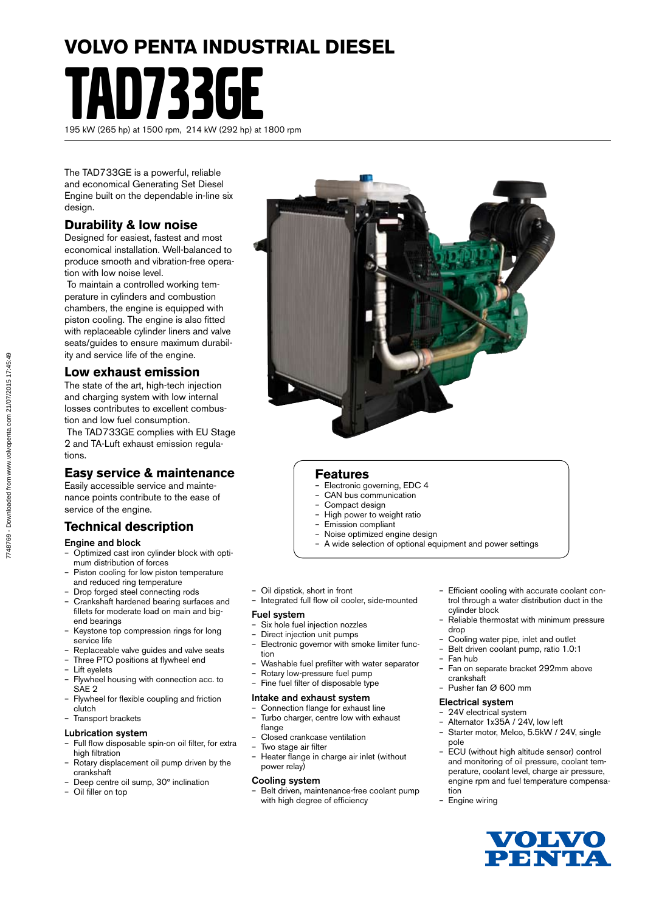# **VOLVO PENTA INDUSTRIAL DIESEL**

TAD733GE 195 kW (265 hp) at 1500 rpm, 214 kW (292 hp) at 1800 rpm

The TAD733GE is a powerful, reliable and economical Generating Set Diesel Engine built on the dependable in-line six design.

# **Durability & low noise**

Designed for easiest, fastest and most economical installation. Well-balanced to produce smooth and vibration-free operation with low noise level.

 To maintain a controlled working temperature in cylinders and combustion chambers, the engine is equipped with piston cooling. The engine is also fitted with replaceable cylinder liners and valve seats/guides to ensure maximum durability and service life of the engine.

# **Low exhaust emission**

The state of the art, high-tech injection and charging system with low internal losses contributes to excellent combustion and low fuel consumption.

 The TAD733GE complies with EU Stage 2 and TA-Luft exhaust emission regulations.

# **Easy service & maintenance**

Easily accessible service and maintenance points contribute to the ease of service of the engine.

# **Technical description**

### Engine and block

- Optimized cast iron cylinder block with optimum distribution of forces
- Piston cooling for low piston temperature and reduced ring temperature
- Drop forged steel connecting rods
- Crankshaft hardened bearing surfaces and fillets for moderate load on main and bigend bearings
- Keystone top compression rings for long service life
- Replaceable valve guides and valve seats
- Three PTO positions at flywheel end
- Lift evelets
- Flywheel housing with connection acc. to SAE 2
- Flywheel for flexible coupling and friction clutch
- Transport brackets

### Lubrication system

- Full flow disposable spin-on oil filter, for extra high filtration
- Rotary displacement oil pump driven by the crankshaft
- Deep centre oil sump, 30° inclination
- Oil filler on top



### **Features**

- Electronic governing, EDC 4
- CAN bus communication
- Compact design
- High power to weight ratio
- Emission compliant – Noise optimized engine design
- A wide selection of optional equipment and power settings
- Oil dipstick, short in front
- Integrated full flow oil cooler, side-mounted

### Fuel system

- Six hole fuel injection nozzles<br>- Direct injection unit numps
- Direct injection unit pumps
- Electronic governor with smoke limiter function
- Washable fuel prefilter with water separator
- Rotary low-pressure fuel pump
- Fine fuel filter of disposable type

### Intake and exhaust system

- Connection flange for exhaust line – Turbo charger, centre low with exhaust
- flange – Closed crankcase ventilation
- Two stage air filter
- Heater flange in charge air inlet (without power relay)

### Cooling system

– Belt driven, maintenance-free coolant pump with high degree of efficiency

- Efficient cooling with accurate coolant control through a water distribution duct in the cylinder block
- Reliable thermostat with minimum pressure drop
- Cooling water pipe, inlet and outlet
- Belt driven coolant pump, ratio 1.0:1
- Fan hub
- Fan on separate bracket 292mm above crankshaft
- Pusher fan Ø 600 mm

### Electrical system

- 24V electrical system
- Alternator 1x35A / 24V, low left
- Starter motor, Melco, 5.5kW / 24V, single pole
- ECU (without high altitude sensor) control and monitoring of oil pressure, coolant temperature, coolant level, charge air pressure, engine rpm and fuel temperature compensation
- Engine wiring